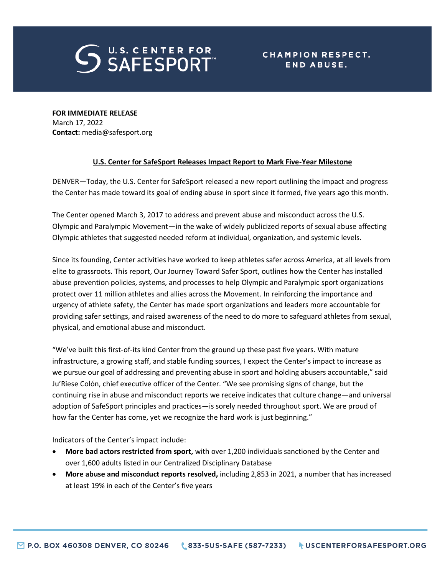

**FOR IMMEDIATE RELEASE** March 17, 2022 **Contact:** media@safesport.org

## **U.S. Center for SafeSport Releases Impact Report to Mark Five-Year Milestone**

DENVER—Today, the U.S. Center for SafeSport released a new report outlining the impact and progress the Center has made toward its goal of ending abuse in sport since it formed, five years ago this month.

The Center opened March 3, 2017 to address and prevent abuse and misconduct across the U.S. Olympic and Paralympic Movement—in the wake of widely publicized reports of sexual abuse affecting Olympic athletes that suggested needed reform at individual, organization, and systemic levels.

Since its founding, Center activities have worked to keep athletes safer across America, at all levels from elite to grassroots. This report, Our Journey Toward Safer Sport, outlines how the Center has installed abuse prevention policies, systems, and processes to help Olympic and Paralympic sport organizations protect over 11 million athletes and allies across the Movement. In reinforcing the importance and urgency of athlete safety, the Center has made sport organizations and leaders more accountable for providing safer settings, and raised awareness of the need to do more to safeguard athletes from sexual, physical, and emotional abuse and misconduct.

"We've built this first-of-its kind Center from the ground up these past five years. With mature infrastructure, a growing staff, and stable funding sources, I expect the Center's impact to increase as we pursue our goal of addressing and preventing abuse in sport and holding abusers accountable," said Ju'Riese Colón, chief executive officer of the Center. "We see promising signs of change, but the continuing rise in abuse and misconduct reports we receive indicates that culture change—and universal adoption of SafeSport principles and practices—is sorely needed throughout sport. We are proud of how far the Center has come, yet we recognize the hard work is just beginning."

Indicators of the Center's impact include:

- **More bad actors restricted from sport,** with over 1,200 individuals sanctioned by the Center and over 1,600 adults listed in our Centralized Disciplinary Database
- **More abuse and misconduct reports resolved,** including 2,853 in 2021, a number that has increased at least 19% in each of the Center's five years